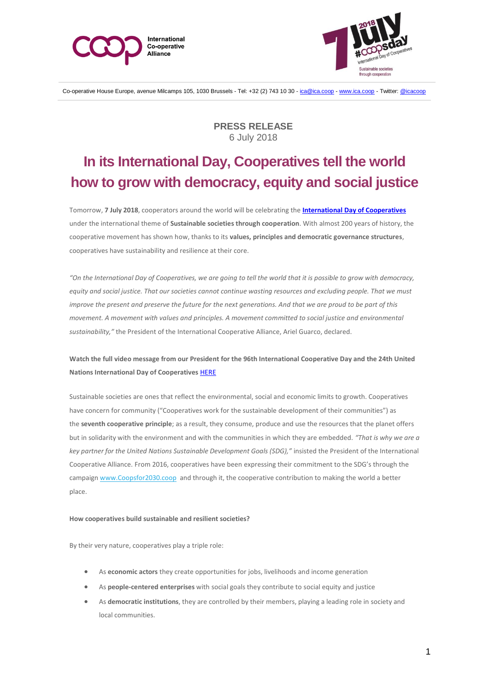



Co-operative House Europe, avenue Milcamps 105, 1030 Brussels - Tel: +32 (2) 743 10 30 - [ica@ica.coop](mailto:ica@ica.coop) - [www.ica.coop](http://www.ica.coop-/) - Twitter[: @icacoop](https://twitter.com/icacoop)

**PRESS RELEASE** 6 July 2018

# **In its International Day, Cooperatives tell the world how to grow with democracy, equity and social justice**

Tomorrow, **7 July 2018**, cooperators around the world will be celebrating the **[International Day of Cooperatives](https://www.ica.coop/en/events/international-co-operative-day)** under the international theme of **Sustainable societies through cooperation**. With almost 200 years of history, the cooperative movement has shown how, thanks to its **values, principles and democratic governance structures**, cooperatives have sustainability and resilience at their core.

*"On the International Day of Cooperatives, we are going to tell the world that it is possible to grow with democracy,* equity and social justice. That our societies cannot continue wasting resources and excluding people. That we must *improve the present and preserve the future for the next generations. And that we are proud to be part of this movement. A movement with values and principles. A movement committed to social justice and environmental sustainability,"* the President of the International Cooperative Alliance, Ariel Guarco, declared.

## **Watch the full video message from our President for the 96th International Cooperative Day and the 24th United Nations International Day of Cooperatives** [HERE](https://www.youtube.com/watch?v=f5d_HG1uDFg&feature=youtu.be)

Sustainable societies are ones that reflect the environmental, social and economic limits to growth. Cooperatives have concern for community ("Cooperatives work for the sustainable development of their communities") as the **seventh cooperative principle**; as a result, they consume, produce and use the resources that the planet offers but in solidarity with the environment and with the communities in which they are embedded. *"That is why we are a key partner for the United Nations Sustainable Development Goals (SDG),"* insisted the President of the International Cooperative Alliance. From 2016, cooperatives have been expressing their commitment to the SDG's through the campaign [www.Coopsfor2030.coop](http://www.coopsfor2030.coop/) and through it, the cooperative contribution to making the world a better place.

#### **How cooperatives build sustainable and resilient societies?**

By their very nature, cooperatives play a triple role:

- As **economic actors** they create opportunities for jobs, livelihoods and income generation
- As **people-centered enterprises** with social goals they contribute to social equity and justice
- As **democratic institutions**, they are controlled by their members, playing a leading role in society and local communities.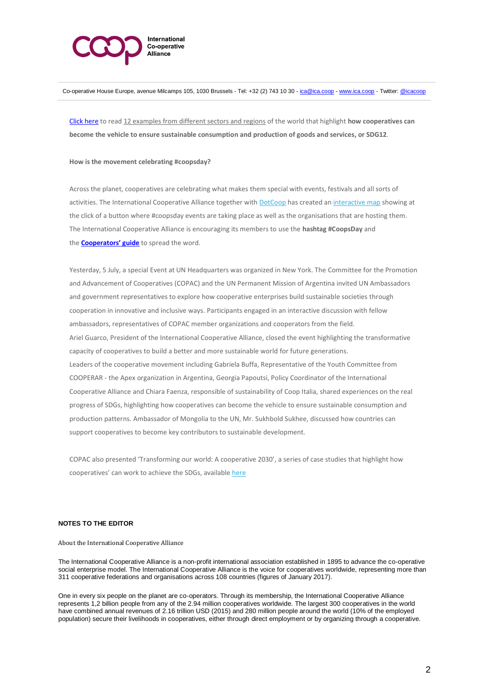

Co-operative House Europe, avenue Milcamps 105, 1030 Brussels - Tel: +32 (2) 743 10 30 - [ica@ica.coop](mailto:ica@ica.coop) - [www.ica.coop](http://www.ica.coop-/) - Twitter[: @icacoop](https://twitter.com/icacoop)

[Click here](https://www.ica.coop/en/media/library/fact-sheets/12-cooperative-stories-how-cooperatives-build-sustainable-and-resilient) to read 12 examples from different sectors and regions of the world that highlight **how cooperatives can become the vehicle to ensure sustainable consumption and production of goods and services, or SDG12**.

#### **How is the movement celebrating #coopsday?**

Across the planet, cooperatives are celebrating what makes them special with events, festivals and all sorts of activities. The International Cooperative Alliance together with [DotCoop](http://www.coop/) has created an [interactive map](https://www.ica.coop/en/coopsday-interactive-map) showing at the click of a button where #coopsday events are taking place as well as the organisations that are hosting them. The International Cooperative Alliance is encouraging its members to use the **hashtag #CoopsDay** and the **[Cooperators' guide](https://www.ica.coop/en/2018-coopsday-cooperators-guide)** to spread the word.

Yesterday, 5 July, a special Event at UN Headquarters was organized in New York. The Committee for the Promotion and Advancement of Cooperatives (COPAC) and the UN Permanent Mission of Argentina invited UN Ambassadors and government representatives to explore how cooperative enterprises build sustainable societies through cooperation in innovative and inclusive ways. Participants engaged in an interactive discussion with fellow ambassadors, representatives of COPAC member organizations and cooperators from the field. Ariel Guarco, President of the International Cooperative Alliance, closed the event highlighting the transformative capacity of cooperatives to build a better and more sustainable world for future generations. Leaders of the cooperative movement including Gabriela Buffa, Representative of the Youth Committee from COOPERAR - the Apex organization in Argentina, Georgia Papoutsi, Policy Coordinator of the International Cooperative Alliance and Chiara Faenza, responsible of sustainability of Coop Italia, shared experiences on the real progress of SDGs, highlighting how cooperatives can become the vehicle to ensure sustainable consumption and production patterns. Ambassador of Mongolia to the UN, Mr. Sukhbold Sukhee, discussed how countries can support cooperatives to become key contributors to sustainable development.

COPAC also presented 'Transforming our world: A cooperative 2030', a series of case studies that highlight how cooperatives' can work to achieve the SDGs, available [here](http://www.copac.coop/transforming-our-world-a-cooperative-2030-cooperative-contributions-to-sdg-12/)

### **NOTES TO THE EDITOR**

About the International Cooperative Alliance

The International Cooperative Alliance is a non-profit international association established in 1895 to advance the co-operative social enterprise model. The International Cooperative Alliance is the voice for cooperatives worldwide, representing more than 311 cooperative federations and organisations across 108 countries (figures of January 2017).

One in every six people on the planet are co-operators. Through its membership, the International Cooperative Alliance represents 1,2 billion people from any of the 2.94 million cooperatives worldwide. The largest 300 cooperatives in the world have combined annual revenues of 2.16 trillion USD (2015) and 280 million people around the world (10% of the employed population) secure their livelihoods in cooperatives, either through direct employment or by organizing through a cooperative.